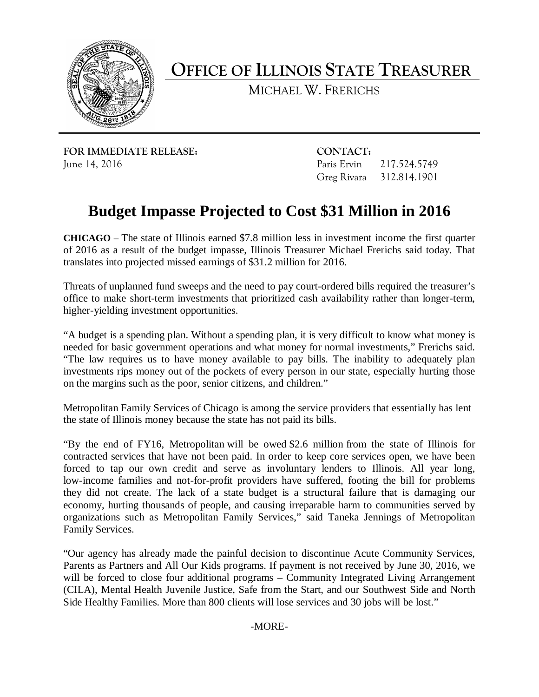

**OFFICE OF ILLINOIS STATE TREASURER**

MICHAEL W. FRERICHS

**FOR IMMEDIATE RELEASE: CONTACT:** June 14, 2016 Paris Ervin 217.524.5749

Greg Rivara 312.814.1901

## **Budget Impasse Projected to Cost \$31 Million in 2016**

**CHICAGO** – The state of Illinois earned \$7.8 million less in investment income the first quarter of 2016 as a result of the budget impasse, Illinois Treasurer Michael Frerichs said today. That translates into projected missed earnings of \$31.2 million for 2016.

Threats of unplanned fund sweeps and the need to pay court-ordered bills required the treasurer's office to make short-term investments that prioritized cash availability rather than longer-term, higher-yielding investment opportunities.

"A budget is a spending plan. Without a spending plan, it is very difficult to know what money is needed for basic government operations and what money for normal investments," Frerichs said. "The law requires us to have money available to pay bills. The inability to adequately plan investments rips money out of the pockets of every person in our state, especially hurting those on the margins such as the poor, senior citizens, and children."

Metropolitan Family Services of Chicago is among the service providers that essentially has lent the state of Illinois money because the state has not paid its bills.

"By the end of FY16, Metropolitan will be owed \$2.6 million from the state of Illinois for contracted services that have not been paid. In order to keep core services open, we have been forced to tap our own credit and serve as involuntary lenders to Illinois. All year long, low-income families and not-for-profit providers have suffered, footing the bill for problems they did not create. The lack of a state budget is a structural failure that is damaging our economy, hurting thousands of people, and causing irreparable harm to communities served by organizations such as Metropolitan Family Services," said Taneka Jennings of Metropolitan Family Services.

"Our agency has already made the painful decision to discontinue Acute Community Services, Parents as Partners and All Our Kids programs. If payment is not received by June 30, 2016, we will be forced to close four additional programs – Community Integrated Living Arrangement (CILA), Mental Health Juvenile Justice, Safe from the Start, and our Southwest Side and North Side Healthy Families. More than 800 clients will lose services and 30 jobs will be lost."

-MORE-